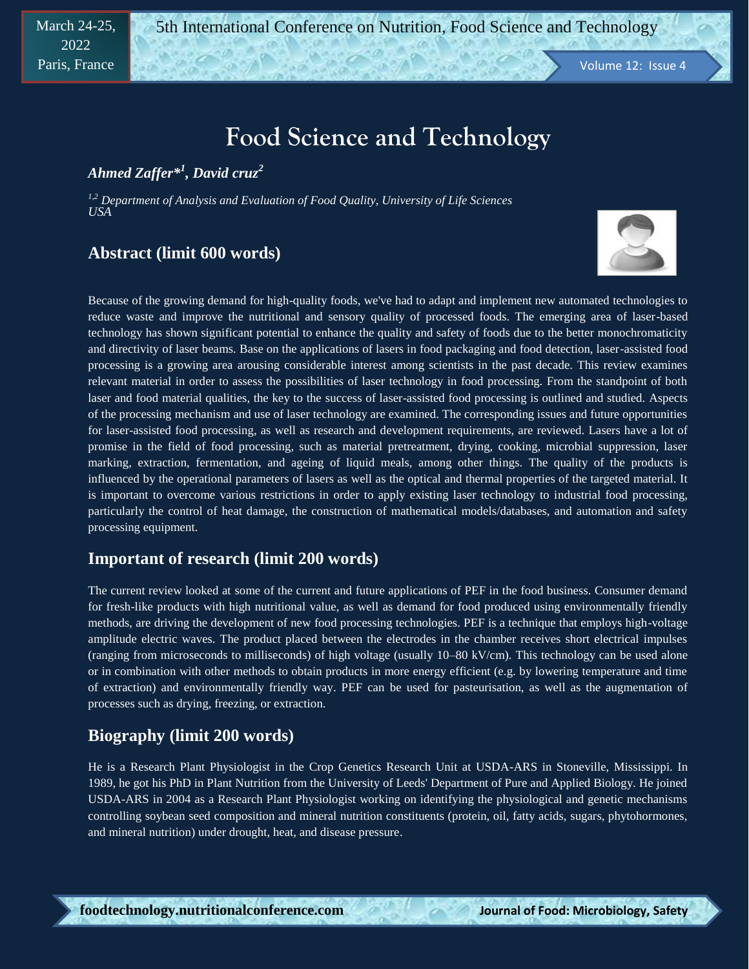# **Food Science and Technology**

*Ahmed Zaffer\* 1 , David cruz<sup>2</sup>*

*1,2 Department of Analysis and Evaluation of Food Quality, University of Life Sciences USA*

### **Abstract (limit 600 words)**



Because of the growing demand for high-quality foods, we've had to adapt and implement new automated technologies to reduce waste and improve the nutritional and sensory quality of processed foods. The emerging area of laser-based technology has shown significant potential to enhance the quality and safety of foods due to the better monochromaticity and directivity of laser beams. Base on the applications of lasers in food packaging and food detection, laser-assisted food processing is a growing area arousing considerable interest among scientists in the past decade. This review examines relevant material in order to assess the possibilities of laser technology in food processing. From the standpoint of both laser and food material qualities, the key to the success of laser-assisted food processing is outlined and studied. Aspects of the processing mechanism and use of laser technology are examined. The corresponding issues and future opportunities for laser-assisted food processing, as well as research and development requirements, are reviewed. Lasers have a lot of promise in the field of food processing, such as material pretreatment, drying, cooking, microbial suppression, laser marking, extraction, fermentation, and ageing of liquid meals, among other things. The quality of the products is influenced by the operational parameters of lasers as well as the optical and thermal properties of the targeted material. It is important to overcome various restrictions in order to apply existing laser technology to industrial food processing, particularly the control of heat damage, the construction of mathematical models/databases, and automation and safety processing equipment.

### **Important of research (limit 200 words)**

The current review looked at some of the current and future applications of PEF in the food business. Consumer demand for fresh-like products with high nutritional value, as well as demand for food produced using environmentally friendly methods, are driving the development of new food processing technologies. PEF is a technique that employs high-voltage amplitude electric waves. The product placed between the electrodes in the chamber receives short electrical impulses (ranging from microseconds to milliseconds) of high voltage (usually 10–80 kV/cm). This technology can be used alone or in combination with other methods to obtain products in more energy efficient (e.g. by lowering temperature and time of extraction) and environmentally friendly way. PEF can be used for pasteurisation, as well as the augmentation of processes such as drying, freezing, or extraction.

### **Biography (limit 200 words)**

He is a Research Plant Physiologist in the Crop Genetics Research Unit at USDA-ARS in Stoneville, Mississippi. In 1989, he got his PhD in Plant Nutrition from the University of Leeds' Department of Pure and Applied Biology. He joined USDA-ARS in 2004 as a Research Plant Physiologist working on identifying the physiological and genetic mechanisms controlling soybean seed composition and mineral nutrition constituents (protein, oil, fatty acids, sugars, phytohormones, and mineral nutrition) under drought, heat, and disease pressure.

**& Hygiene**